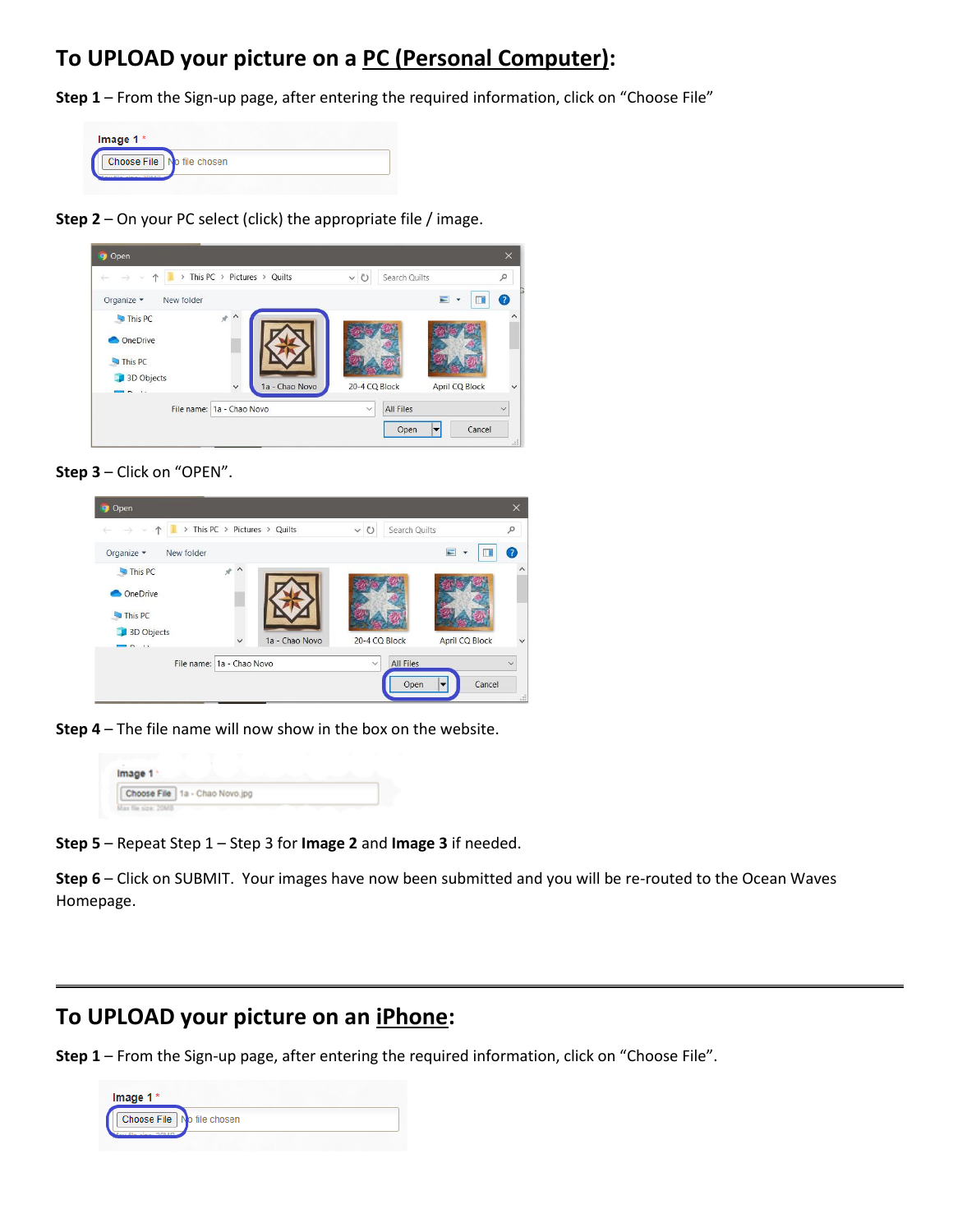## **To UPLOAD your picture on a PC (Personal Computer):**

**Step 1** – From the Sign-up page, after entering the required information, click on "Choose File"

| Image $1*$                 |  |
|----------------------------|--|
| Choose File No file chosen |  |
|                            |  |

**Step 2** – On your PC select (click) the appropriate file / image.

| -<br>$\rightarrow$<br>$\mathcal{P}$<br>$\sim$<br>个 | This PC > Pictures > Quilts |                | $\binom{n}{2}$<br>$\checkmark$<br>Search Quilts |                | $\varphi$         |
|----------------------------------------------------|-----------------------------|----------------|-------------------------------------------------|----------------|-------------------|
| Organize -<br>New folder                           |                             |                |                                                 |                | $\left( 7\right)$ |
| This PC                                            | я                           |                |                                                 |                |                   |
| OneDrive                                           |                             |                |                                                 |                |                   |
| This PC                                            |                             |                |                                                 |                |                   |
| 3D Objects                                         |                             |                |                                                 |                |                   |
| $\sim$ $\sim$                                      | $\checkmark$                | 1a - Chao Novo | 20-4 CQ Block                                   | April CQ Block |                   |
|                                                    | File name: 1a - Chao Novo   |                | <b>All Files</b><br>$\checkmark$                |                | $\checkmark$      |

**Step 3** – Click on "OPEN".

| Open<br>o                |                                                   |                |                         |                  |                                            | $\times$       |
|--------------------------|---------------------------------------------------|----------------|-------------------------|------------------|--------------------------------------------|----------------|
|                          | $\blacktriangleright$ This PC > Pictures > Quilts |                | $\circ$<br>$\checkmark$ | Search Quilts    |                                            | $\varphi$      |
| Organize v<br>New folder |                                                   |                |                         |                  | $\blacksquare$<br>$\overline{\phantom{a}}$ | $\overline{z}$ |
| This PC                  | $*$ ^                                             |                |                         |                  |                                            | $\hat{}$       |
| OneDrive                 |                                                   |                |                         |                  |                                            |                |
| This PC                  |                                                   |                |                         |                  |                                            |                |
| 3D Objects               |                                                   | 1a - Chao Novo | 20-4 CQ Block           |                  | <b>April CQ Block</b>                      | $\ddotmark$    |
| $R_{\rm{1}}$             |                                                   |                |                         |                  |                                            |                |
|                          | File name:   1a - Chao Novo                       |                | $\checkmark$            | <b>All Files</b> |                                            |                |
|                          |                                                   |                |                         | Open             | Cancel<br>▼                                | al.            |

**Step 4** – The file name will now show in the box on the website.

| Image 1 |                                  |  |
|---------|----------------------------------|--|
|         | Choose File   1a - Chao Novo.jpg |  |

**Step 5** – Repeat Step 1 – Step 3 for **Image 2** and **Image 3** if needed.

**Step 6** – Click on SUBMIT. Your images have now been submitted and you will be re-routed to the Ocean Waves Homepage.

## **To UPLOAD your picture on an iPhone:**

**Step 1** – From the Sign-up page, after entering the required information, click on "Choose File".

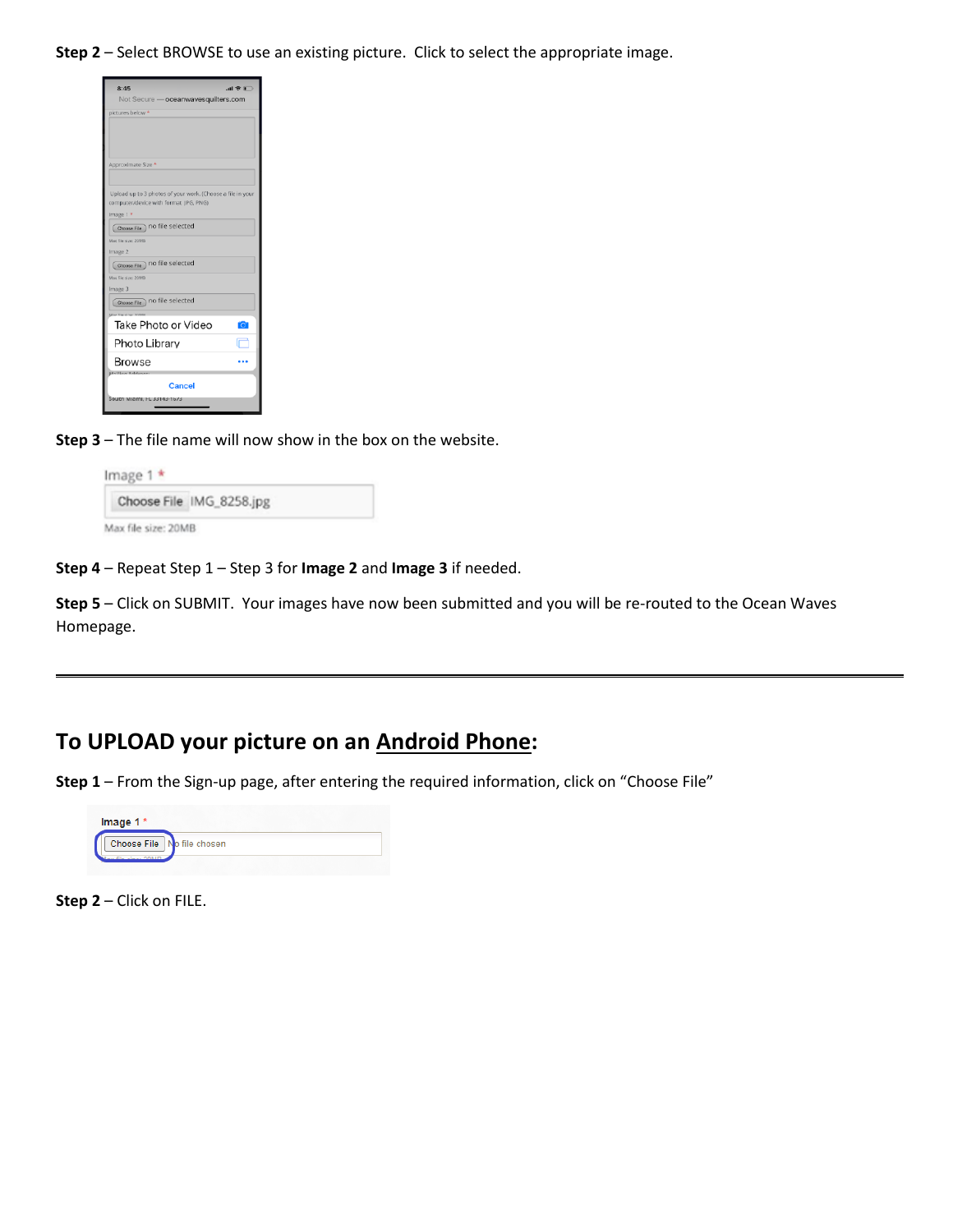**Step 2** – Select BROWSE to use an existing picture. Click to select the appropriate image.

| 8:45                                                       |
|------------------------------------------------------------|
| Not Secure - oceanwavesquilters.com                        |
| pictures below *                                           |
|                                                            |
|                                                            |
|                                                            |
| Approximate Size *                                         |
|                                                            |
| Upload up to 3 photos of your work. (Choose a file in your |
| computer/device with format JPG, PNG)                      |
| Image 1 *                                                  |
| Choose File no file selected                               |
| Max file size: 20MB                                        |
| Image 2                                                    |
| Choose File no file selected                               |
| Max file size: 20MB                                        |
| Image 3                                                    |
| Choose File no file selected                               |
| Take Photo or Video                                        |
|                                                            |
| Photo Library                                              |
| <b>Browse</b>                                              |
|                                                            |
| Cancel                                                     |
| South Miami, FL 33143-1673                                 |
|                                                            |

**Step 3** – The file name will now show in the box on the website.

|  | Choose File IMG_8258.jpg |  |
|--|--------------------------|--|
|--|--------------------------|--|

**Step 4** – Repeat Step 1 – Step 3 for **Image 2** and **Image 3** if needed.

**Step 5** – Click on SUBMIT. Your images have now been submitted and you will be re-routed to the Ocean Waves Homepage.

## **To UPLOAD your picture on an Android Phone:**

**Step 1** – From the Sign-up page, after entering the required information, click on "Choose File"

| Image 1* |                            |
|----------|----------------------------|
|          | Choose File No file chosen |
|          |                            |

**Step 2** – Click on FILE.